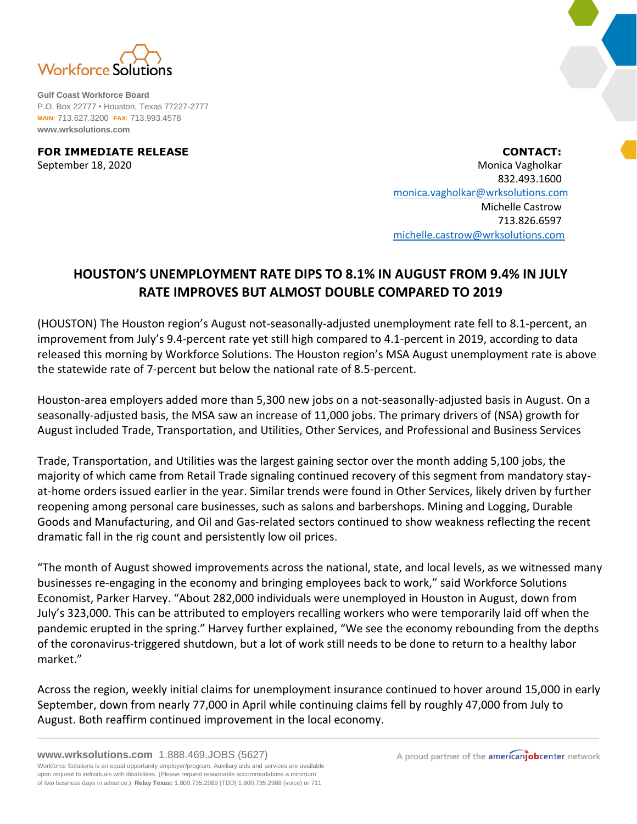

**Gulf Coast Workforce Board** P.O. Box 22777 • Houston, Texas 77227-2777 **MAIN:** 713.627.3200 **FAX:** 713.993.4578 **www.wrksolutions.com**

**FOR IMMEDIATE RELEASE CONTACT:** September 18, 2020 **Monica Vagholkar** Monica Vagholkar Monica Vagholkar Monica Vagholkar 832.493.1600 [monica.vagholkar@wrksolutions.com](mailto:monica.vagholkar@wrksolutions.com) Michelle Castrow 713.826.6597 [michelle.castrow@wrksolutions.com](mailto:michelle.castrow@wrksolutions.com)

## **HOUSTON'S UNEMPLOYMENT RATE DIPS TO 8.1% IN AUGUST FROM 9.4% IN JULY RATE IMPROVES BUT ALMOST DOUBLE COMPARED TO 2019**

(HOUSTON) The Houston region's August not-seasonally-adjusted unemployment rate fell to 8.1-percent, an improvement from July's 9.4-percent rate yet still high compared to 4.1-percent in 2019, according to data released this morning by Workforce Solutions. The Houston region's MSA August unemployment rate is above the statewide rate of 7-percent but below the national rate of 8.5-percent.

Houston-area employers added more than 5,300 new jobs on a not-seasonally-adjusted basis in August. On a seasonally-adjusted basis, the MSA saw an increase of 11,000 jobs. The primary drivers of (NSA) growth for August included Trade, Transportation, and Utilities, Other Services, and Professional and Business Services

Trade, Transportation, and Utilities was the largest gaining sector over the month adding 5,100 jobs, the majority of which came from Retail Trade signaling continued recovery of this segment from mandatory stayat-home orders issued earlier in the year. Similar trends were found in Other Services, likely driven by further reopening among personal care businesses, such as salons and barbershops. Mining and Logging, Durable Goods and Manufacturing, and Oil and Gas-related sectors continued to show weakness reflecting the recent dramatic fall in the rig count and persistently low oil prices.

"The month of August showed improvements across the national, state, and local levels, as we witnessed many businesses re-engaging in the economy and bringing employees back to work," said Workforce Solutions Economist, Parker Harvey. "About 282,000 individuals were unemployed in Houston in August, down from July's 323,000. This can be attributed to employers recalling workers who were temporarily laid off when the pandemic erupted in the spring." Harvey further explained, "We see the economy rebounding from the depths of the coronavirus-triggered shutdown, but a lot of work still needs to be done to return to a healthy labor market."

Across the region, weekly initial claims for unemployment insurance continued to hover around 15,000 in early September, down from nearly 77,000 in April while continuing claims fell by roughly 47,000 from July to August. Both reaffirm continued improvement in the local economy.